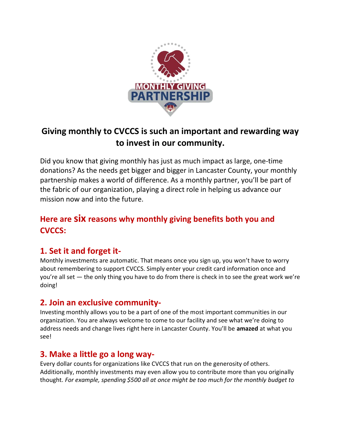

# Giving monthly to CVCCS is such an important and rewarding way to invest in our community.

Did you know that giving monthly has just as much impact as large, one-time donations? As the needs get bigger and bigger in Lancaster County, your monthly partnership makes a world of difference. As a monthly partner, you'll be part of the fabric of our organization, playing a direct role in helping us advance our mission now and into the future.

## Here are six reasons why monthly giving benefits both you and CVCCS:

## 1. Set it and forget it-

Monthly investments are automatic. That means once you sign up, you won't have to worry about remembering to support CVCCS. Simply enter your credit card information once and you're all set — the only thing you have to do from there is check in to see the great work we're doing!

#### 2. Join an exclusive community-

Investing monthly allows you to be a part of one of the most important communities in our organization. You are always welcome to come to our facility and see what we're doing to address needs and change lives right here in Lancaster County. You'll be amazed at what you see!

#### 3. Make a little go a long way-

Every dollar counts for organizations like CVCCS that run on the generosity of others. Additionally, monthly investments may even allow you to contribute more than you originally thought. For example, spending \$500 all at once might be too much for the monthly budget to